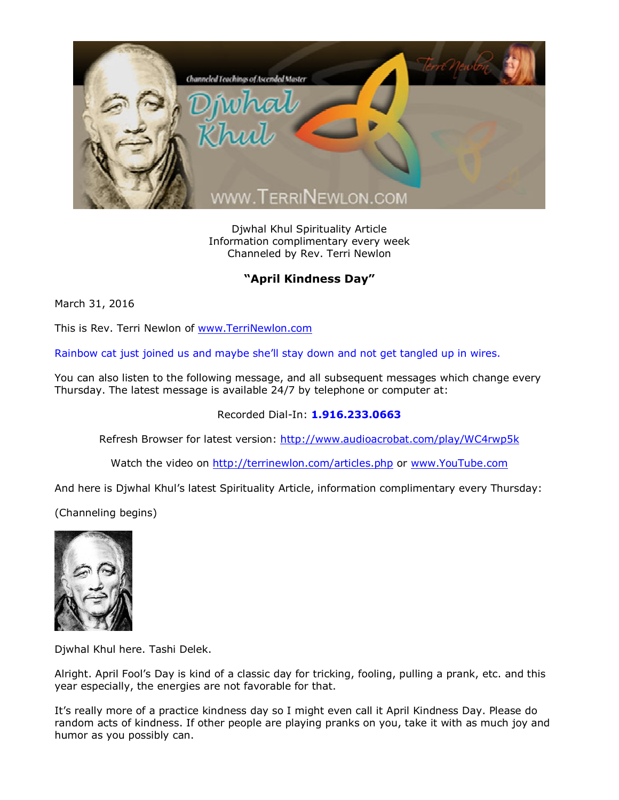

Djwhal Khul Spirituality Article Information complimentary every week Channeled by Rev. Terri Newlon

## **"April Kindness Day"**

March 31, 2016

This is Rev. Terri Newlon of [www.TerriNewlon.com](http://www.terrinewlon.com/)

Rainbow cat just joined us and maybe she'll stay down and not get tangled up in wires.

You can also listen to the following message, and all subsequent messages which change every Thursday. The latest message is available 24/7 by telephone or computer at:

## Recorded Dial-In: **1.916.233.0663**

Refresh Browser for latest version: <http://www.audioacrobat.com/play/WC4rwp5k>

Watch the video on <http://terrinewlon.com/articles.php> or [www.YouTube.com](http://www.youtube.com/)

And here is Djwhal Khul's latest Spirituality Article, information complimentary every Thursday:

(Channeling begins)



Djwhal Khul here. Tashi Delek.

Alright. April Fool's Day is kind of a classic day for tricking, fooling, pulling a prank, etc. and this year especially, the energies are not favorable for that.

It's really more of a practice kindness day so I might even call it April Kindness Day. Please do random acts of kindness. If other people are playing pranks on you, take it with as much joy and humor as you possibly can.